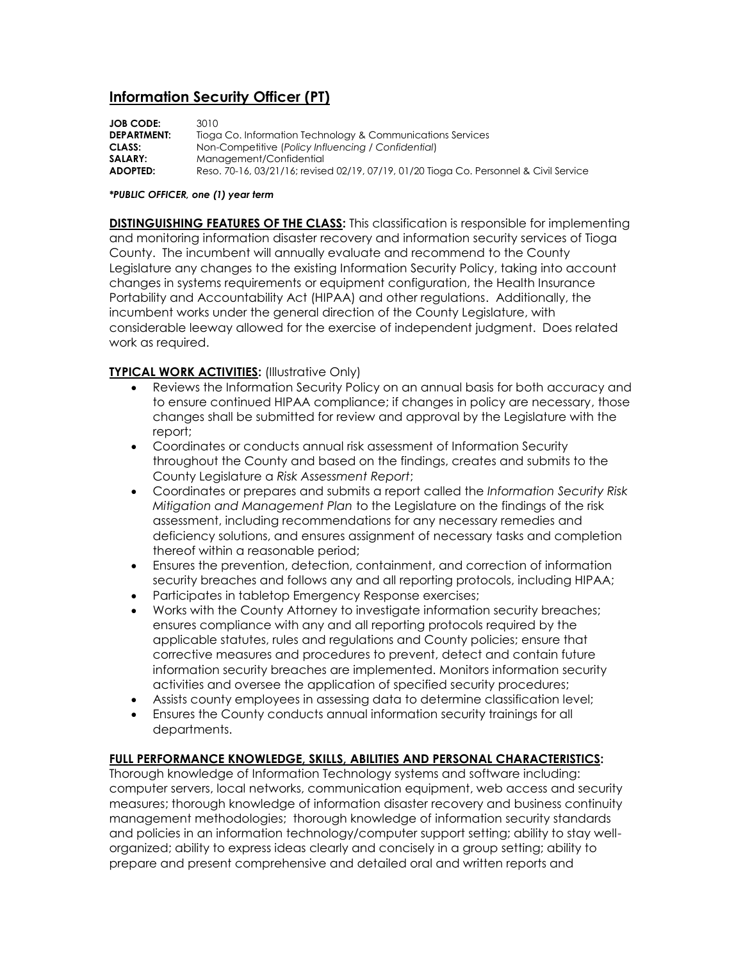# **Information Security Officer (PT)**

| <b>JOB CODE:</b>   | 3010.                                                                                  |
|--------------------|----------------------------------------------------------------------------------------|
| <b>DEPARTMENT:</b> | Tioga Co. Information Technology & Communications Services                             |
| CLASS:             | Non-Competitive (Policy Influencing / Confidential)                                    |
| SALARY:            | Management/Confidential                                                                |
| ADOPTED:           | Reso, 70-16, 03/21/16; revised 02/19, 07/19, 01/20 Tioga Co. Personnel & Civil Service |

#### *\*PUBLIC OFFICER, one (1) year term*

**DISTINGUISHING FEATURES OF THE CLASS:** This classification is responsible for implementing and monitoring information disaster recovery and information security services of Tioga County. The incumbent will annually evaluate and recommend to the County Legislature any changes to the existing Information Security Policy, taking into account changes in systems requirements or equipment configuration, the Health Insurance Portability and Accountability Act (HIPAA) and other regulations. Additionally, the incumbent works under the general direction of the County Legislature, with considerable leeway allowed for the exercise of independent judgment. Does related work as required.

### **TYPICAL WORK ACTIVITIES:** (Illustrative Only)

- Reviews the Information Security Policy on an annual basis for both accuracy and to ensure continued HIPAA compliance; if changes in policy are necessary, those changes shall be submitted for review and approval by the Legislature with the report;
- Coordinates or conducts annual risk assessment of Information Security throughout the County and based on the findings, creates and submits to the County Legislature a *Risk Assessment Report*;
- Coordinates or prepares and submits a report called the *Information Security Risk Mitigation and Management Plan* to the Legislature on the findings of the risk assessment, including recommendations for any necessary remedies and deficiency solutions, and ensures assignment of necessary tasks and completion thereof within a reasonable period;
- Ensures the prevention, detection, containment, and correction of information security breaches and follows any and all reporting protocols, including HIPAA;
- Participates in tabletop Emergency Response exercises;
- Works with the County Attorney to investigate information security breaches; ensures compliance with any and all reporting protocols required by the applicable statutes, rules and regulations and County policies; ensure that corrective measures and procedures to prevent, detect and contain future information security breaches are implemented. Monitors information security activities and oversee the application of specified security procedures;
- Assists county employees in assessing data to determine classification level;
- Ensures the County conducts annual information security trainings for all departments.

#### **FULL PERFORMANCE KNOWLEDGE, SKILLS, ABILITIES AND PERSONAL CHARACTERISTICS:**

Thorough knowledge of Information Technology systems and software including: computer servers, local networks, communication equipment, web access and security measures; thorough knowledge of information disaster recovery and business continuity management methodologies; thorough knowledge of information security standards and policies in an information technology/computer support setting; ability to stay wellorganized; ability to express ideas clearly and concisely in a group setting; ability to prepare and present comprehensive and detailed oral and written reports and